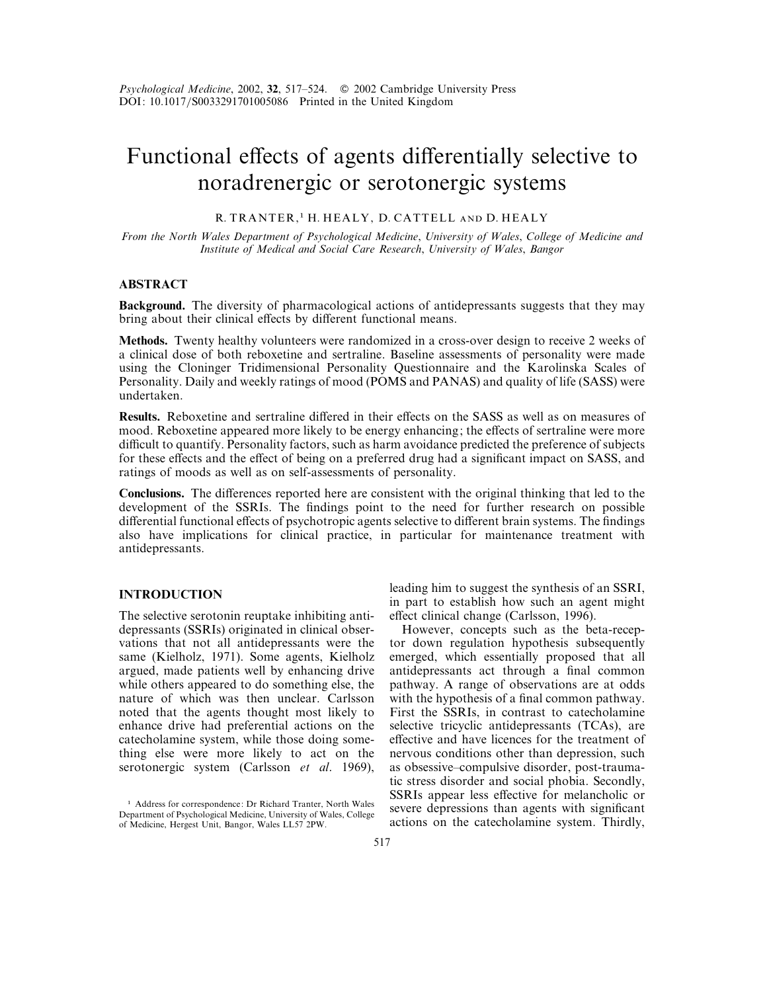# Functional effects of agents differentially selective to noradrenergic or serotonergic systems

## R. TRANTER,<sup>1</sup> H. HEALY, D. CATTELL AND D. HEALY

*From the North Wales Department of Psychological Medicine*, *University of Wales*, *College of Medicine and Institute of Medical and Social Care Research*, *University of Wales*, *Bangor*

## **ABSTRACT**

**Background.** The diversity of pharmacological actions of antidepressants suggests that they may bring about their clinical effects by different functional means.

**Methods.** Twenty healthy volunteers were randomized in a cross-over design to receive 2 weeks of a clinical dose of both reboxetine and sertraline. Baseline assessments of personality were made using the Cloninger Tridimensional Personality Questionnaire and the Karolinska Scales of Personality. Daily and weekly ratings of mood (POMS and PANAS) and quality of life (SASS) were undertaken.

**Results.** Reboxetine and sertraline differed in their effects on the SASS as well as on measures of mood. Reboxetine appeared more likely to be energy enhancing; the effects of sertraline were more difficult to quantify. Personality factors, such as harm avoidance predicted the preference of subjects for these effects and the effect of being on a preferred drug had a significant impact on SASS, and ratings of moods as well as on self-assessments of personality.

**Conclusions.** The differences reported here are consistent with the original thinking that led to the development of the SSRIs. The findings point to the need for further research on possible differential functional effects of psychotropic agents selective to different brain systems. The findings also have implications for clinical practice, in particular for maintenance treatment with antidepressants.

## **INTRODUCTION**

The selective serotonin reuptake inhibiting antidepressants (SSRIs) originated in clinical observations that not all antidepressants were the same (Kielholz, 1971). Some agents, Kielholz argued, made patients well by enhancing drive while others appeared to do something else, the nature of which was then unclear. Carlsson noted that the agents thought most likely to enhance drive had preferential actions on the catecholamine system, while those doing something else were more likely to act on the serotonergic system (Carlsson *et al*. 1969),

leading him to suggest the synthesis of an SSRI, in part to establish how such an agent might effect clinical change (Carlsson, 1996).

However, concepts such as the beta-receptor down regulation hypothesis subsequently emerged, which essentially proposed that all antidepressants act through a final common pathway. A range of observations are at odds with the hypothesis of a final common pathway. First the SSRIs, in contrast to catecholamine selective tricyclic antidepressants (TCAs), are effective and have licences for the treatment of nervous conditions other than depression, such as obsessive–compulsive disorder, post-traumatic stress disorder and social phobia. Secondly, SSRIs appear less effective for melancholic or severe depressions than agents with significant actions on the catecholamine system. Thirdly,

<sup>&</sup>lt;sup>1</sup> Address for correspondence: Dr Richard Tranter, North Wales Department of Psychological Medicine, University of Wales, College of Medicine, Hergest Unit, Bangor, Wales LL57 2PW.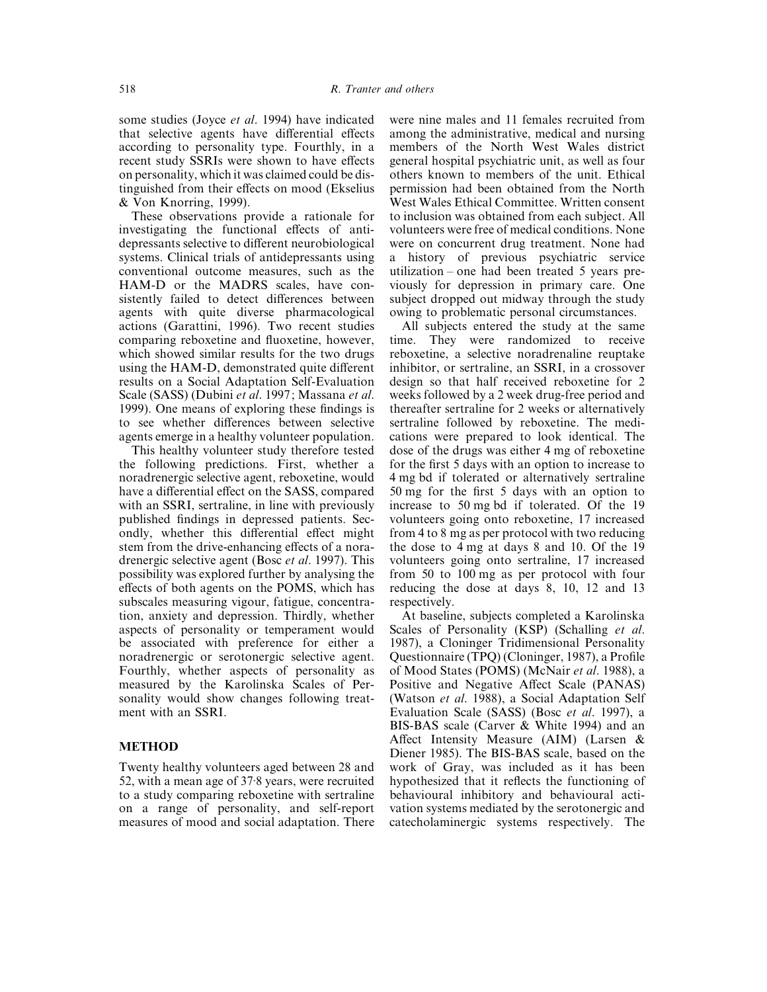some studies (Joyce *et al*. 1994) have indicated that selective agents have differential effects according to personality type. Fourthly, in a recent study SSRIs were shown to have effects on personality, which it was claimed could be distinguished from their effects on mood (Ekselius & Von Knorring, 1999).

These observations provide a rationale for investigating the functional effects of antidepressants selective to different neurobiological systems. Clinical trials of antidepressants using conventional outcome measures, such as the HAM-D or the MADRS scales, have consistently failed to detect differences between agents with quite diverse pharmacological actions (Garattini, 1996). Two recent studies comparing reboxetine and fluoxetine, however, which showed similar results for the two drugs using the HAM-D, demonstrated quite different results on a Social Adaptation Self-Evaluation Scale (SASS) (Dubini *et al*. 1997; Massana *et al*. 1999). One means of exploring these findings is to see whether differences between selective agents emerge in a healthy volunteer population.

This healthy volunteer study therefore tested the following predictions. First, whether a noradrenergic selective agent, reboxetine, would have a differential effect on the SASS, compared with an SSRI, sertraline, in line with previously published findings in depressed patients. Secondly, whether this differential effect might stem from the drive-enhancing effects of a noradrenergic selective agent (Bosc *et al*. 1997). This possibility was explored further by analysing the effects of both agents on the POMS, which has subscales measuring vigour, fatigue, concentration, anxiety and depression. Thirdly, whether aspects of personality or temperament would be associated with preference for either a noradrenergic or serotonergic selective agent. Fourthly, whether aspects of personality as measured by the Karolinska Scales of Personality would show changes following treatment with an SSRI.

## **METHOD**

Twenty healthy volunteers aged between 28 and 52, with a mean age of 37 $\cdot$ 8 years, were recruited to a study comparing reboxetine with sertraline on a range of personality, and self-report measures of mood and social adaptation. There

were nine males and 11 females recruited from among the administrative, medical and nursing members of the North West Wales district general hospital psychiatric unit, as well as four others known to members of the unit. Ethical permission had been obtained from the North West Wales Ethical Committee. Written consent to inclusion was obtained from each subject. All volunteers were free of medical conditions. None were on concurrent drug treatment. None had a history of previous psychiatric service utilization – one had been treated 5 years previously for depression in primary care. One subject dropped out midway through the study owing to problematic personal circumstances.

All subjects entered the study at the same time. They were randomized to receive reboxetine, a selective noradrenaline reuptake inhibitor, or sertraline, an SSRI, in a crossover design so that half received reboxetine for 2 weeks followed by a 2 week drug-free period and thereafter sertraline for 2 weeks or alternatively sertraline followed by reboxetine. The medications were prepared to look identical. The dose of the drugs was either 4 mg of reboxetine for the first 5 days with an option to increase to 4 mg bd if tolerated or alternatively sertraline 50 mg for the first 5 days with an option to increase to 50 mg bd if tolerated. Of the 19 volunteers going onto reboxetine, 17 increased from 4 to 8 mg as per protocol with two reducing the dose to 4 mg at days 8 and 10. Of the 19 volunteers going onto sertraline, 17 increased from 50 to 100 mg as per protocol with four reducing the dose at days 8, 10, 12 and 13 respectively.

At baseline, subjects completed a Karolinska Scales of Personality (KSP) (Schalling *et al*. 1987), a Cloninger Tridimensional Personality Questionnaire (TPQ) (Cloninger, 1987), a Profile of Mood States (POMS) (McNair *et al*. 1988), a Positive and Negative Affect Scale (PANAS) (Watson *et al*. 1988), a Social Adaptation Self Evaluation Scale (SASS) (Bosc *et al*. 1997), a BIS-BAS scale (Carver & White 1994) and an Affect Intensity Measure (AIM) (Larsen & Diener 1985). The BIS-BAS scale, based on the work of Gray, was included as it has been hypothesized that it reflects the functioning of behavioural inhibitory and behavioural activation systems mediated by the serotonergic and catecholaminergic systems respectively. The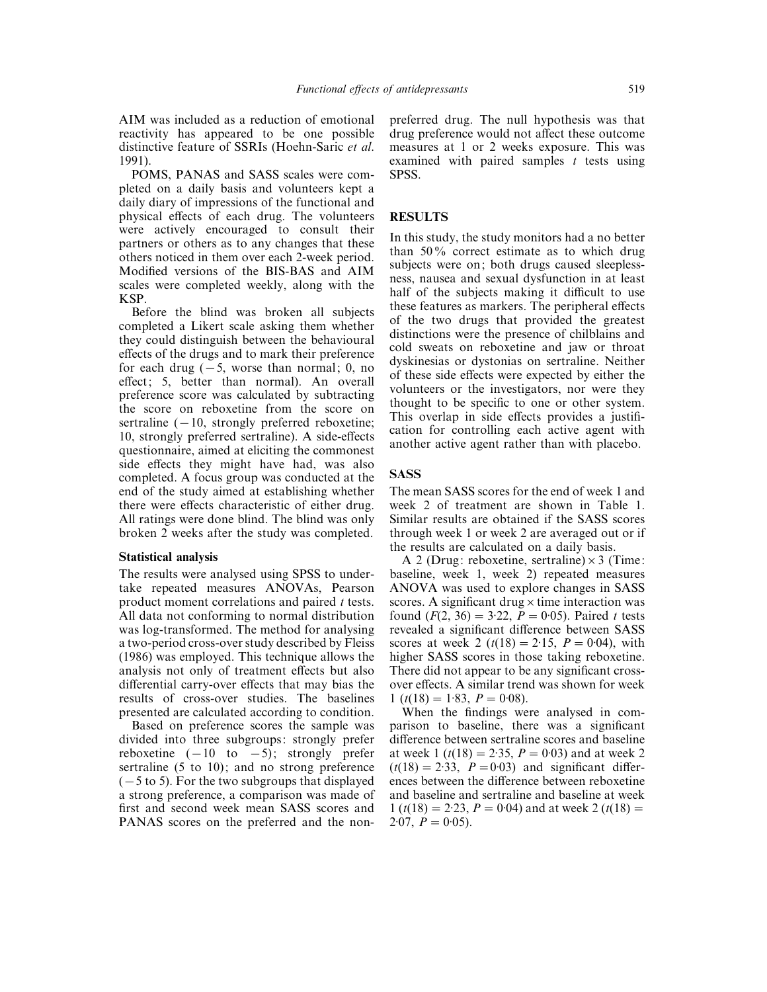AIM was included as a reduction of emotional reactivity has appeared to be one possible distinctive feature of SSRIs (Hoehn-Saric *et al*. 1991).

POMS, PANAS and SASS scales were completed on a daily basis and volunteers kept a daily diary of impressions of the functional and physical effects of each drug. The volunteers were actively encouraged to consult their partners or others as to any changes that these others noticed in them over each 2-week period. Modified versions of the BIS-BAS and AIM scales were completed weekly, along with the KSP.

Before the blind was broken all subjects completed a Likert scale asking them whether they could distinguish between the behavioural effects of the drugs and to mark their preference for each drug  $(-5, \text{ worse than normal}; 0, \text{no})$ effect; 5, better than normal). An overall preference score was calculated by subtracting the score on reboxetine from the score on sertraline  $(-10,$  strongly preferred reboxetine; 10, strongly preferred sertraline). A side-effects questionnaire, aimed at eliciting the commonest side effects they might have had, was also completed. A focus group was conducted at the end of the study aimed at establishing whether there were effects characteristic of either drug. All ratings were done blind. The blind was only broken 2 weeks after the study was completed.

#### **Statistical analysis**

The results were analysed using SPSS to undertake repeated measures ANOVAs, Pearson product moment correlations and paired *t* tests. All data not conforming to normal distribution was log-transformed. The method for analysing a two-period cross-over study described by Fleiss (1986) was employed. This technique allows the analysis not only of treatment effects but also differential carry-over effects that may bias the results of cross-over studies. The baselines presented are calculated according to condition.

Based on preference scores the sample was divided into three subgroups: strongly prefer reboxetine  $(-10 \text{ to } -5)$ ; strongly prefer sertraline (5 to 10); and no strong preference  $(-5$  to 5). For the two subgroups that displayed a strong preference, a comparison was made of first and second week mean SASS scores and PANAS scores on the preferred and the non-

preferred drug. The null hypothesis was that drug preference would not affect these outcome measures at 1 or 2 weeks exposure. This was examined with paired samples *t* tests using SPSS.

## **RESULTS**

In this study, the study monitors had a no better than 50% correct estimate as to which drug subjects were on; both drugs caused sleeplessness, nausea and sexual dysfunction in at least half of the subjects making it difficult to use these features as markers. The peripheral effects of the two drugs that provided the greatest distinctions were the presence of chilblains and cold sweats on reboxetine and jaw or throat dyskinesias or dystonias on sertraline. Neither of these side effects were expected by either the volunteers or the investigators, nor were they thought to be specific to one or other system. This overlap in side effects provides a justification for controlling each active agent with another active agent rather than with placebo.

## **SASS**

The mean SASS scores for the end of week 1 and week 2 of treatment are shown in Table 1. Similar results are obtained if the SASS scores through week 1 or week 2 are averaged out or if the results are calculated on a daily basis.

A 2 (Drug: reboxetine, sertraline)  $\times$  3 (Time: baseline, week 1, week 2) repeated measures ANOVA was used to explore changes in SASS scores. A significant drug  $\times$  time interaction was found  $(F(2, 36) = 3.22, P = 0.05)$ . Paired *t* tests revealed a significant difference between SASS scores at week 2  $(t(18) = 2.15, P = 0.04)$ , with higher SASS scores in those taking reboxetine. There did not appear to be any significant crossover effects. A similar trend was shown for week  $1 (t(18) = 1.83, P = 0.08).$ 

When the findings were analysed in comparison to baseline, there was a significant difference between sertraline scores and baseline at week 1 ( $t(18) = 2.35$ ,  $P = 0.03$ ) and at week 2  $(t(18) = 2.33, P = 0.03)$  and significant differences between the difference between reboxetine and baseline and sertraline and baseline at week  $1 (t(18) = 2.23, P = 0.04)$  and at week  $2 (t(18) =$  $2.07, P = 0.05$ .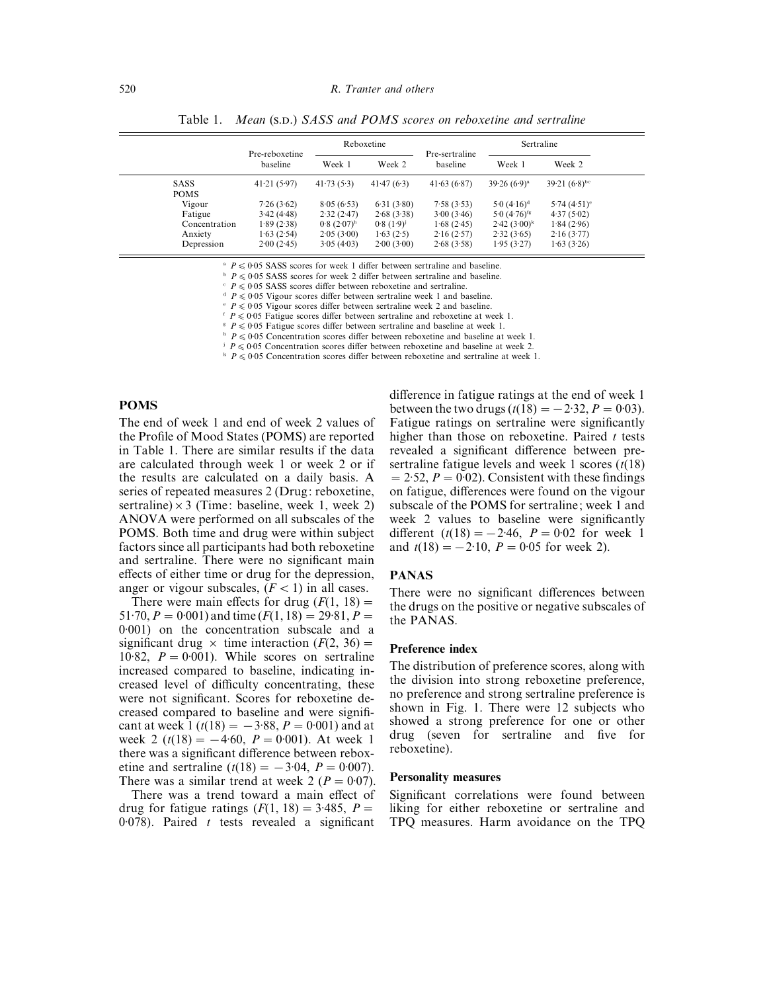|               |                            | Reboxetine       |                |                            | Sertraline        |                   |
|---------------|----------------------------|------------------|----------------|----------------------------|-------------------|-------------------|
|               | Pre-reboxetine<br>baseline | Week 1           | Week 2         | Pre-sertraline<br>baseline | Week 1            | Week 2            |
| <b>SASS</b>   | 41.21(5.97)                | 41.73(5.3)       | 41.47(6.3)     | 41.63(6.87)                | $39.26(6.9)^{a}$  | $39.21(6.8)^{bc}$ |
| <b>POMS</b>   |                            |                  |                |                            |                   |                   |
| Vigour        | 7.26(3.62)                 | 8.05(6.53)       | 6.31(3.80)     | 7.58(3.53)                 | $5.0$ $(4.16)^d$  | $5.74(4.51)^e$    |
| Fatigue       | 3.42(4.48)                 | 2.32(2.47)       | 2.68(3.38)     | 3.00(3.46)                 | 5.0 $(4.76)^{fg}$ | 4.37(5.02)        |
| Concentration | 1.89(2.38)                 | $0.8~(2.07)^{h}$ | $0.8(1.9)^{j}$ | 1.68(2.45)                 | $2.42 (3.00)^{k}$ | 1.84(2.96)        |
| Anxiety       | 1.63(2.54)                 | 2.05(3.00)       | 1.63(2.5)      | 2.16(2.57)                 | 2.32(3.65)        | 2.16(3.77)        |
| Depression    | 2.00(2.45)                 | 3.05(4.03)       | 2.00(3.00)     | 2.68(3.58)                 | 1.95(3.27)        | 1.63(3.26)        |

Table 1. *Mean* (s.p.) *SASS and POMS scores on reboxetine and sertraline* 

<sup>a</sup>  $P \le 0.05$  SASS scores for week 1 differ between sertraline and baseline.

 $\Delta$  *P*  $\leq$  0.05 SASS scores for week 2 differ between sertraline and baseline.

 $P \le 0.05$  SASS scores differ between reboxetine and sertraline.

 $P \le 0.05$  Vigour scores differ between sertraline week 1 and baseline.

 $P \le 0.05$  Vigour scores differ between sertraline week 2 and baseline.

 $\frac{f}{f}$  *P*  $\leq$  0.05 Fatigue scores differ between sertraline and reboxetine at week 1.

 $P \le 0.05$  Fatigue scores differ between sertraline and baseline at week 1.

<sup>h</sup>  $P \le 0.05$  Concentration scores differ between reboxetine and baseline at week 1.

<sup>j</sup>  $P \le 0.05$  Concentration scores differ between reboxetine and baseline at week 2.

 $k$  *P*  $\leq$  0.05 Concentration scores differ between reboxetine and sertraline at week 1.

## **POMS**

The end of week 1 and end of week 2 values of the Profile of Mood States (POMS) are reported in Table 1. There are similar results if the data are calculated through week 1 or week 2 or if the results are calculated on a daily basis. A series of repeated measures 2 (Drug: reboxetine, sertraline)  $\times$  3 (Time: baseline, week 1, week 2) ANOVA were performed on all subscales of the POMS. Both time and drug were within subject factors since all participants had both reboxetine and sertraline. There were no significant main effects of either time or drug for the depression, anger or vigour subscales,  $(F < 1)$  in all cases.

There were main effects for drug  $(F(1, 18) =$ 51.70,  $P = 0.001$ ) and time ( $F(1, 18) = 29.81, P =$ 0±001) on the concentration subscale and a significant drug  $\times$  time interaction (*F*(2, 36) = 10.82,  $P = 0.001$ ). While scores on sertraline increased compared to baseline, indicating increased level of difficulty concentrating, these were not significant. Scores for reboxetine decreased compared to baseline and were significant at week  $1 (t(18) = -3.88, P = 0.001)$  and at week 2 ( $t(18) = -4.60$ ,  $P = 0.001$ ). At week 1 there was a significant difference between reboxetine and sertraline  $(t(18) = -3.04, P = 0.007)$ . There was a similar trend at week 2 ( $P = 0.07$ ).

There was a trend toward a main effect of drug for fatigue ratings  $(F(1, 18) = 3.485, P =$ 0±078). Paired *t* tests revealed a significant

difference in fatigue ratings at the end of week 1 between the two drugs  $(t(18) = -2.32, P = 0.03)$ . Fatigue ratings on sertraline were significantly higher than those on reboxetine. Paired *t* tests revealed a significant difference between presertraline fatigue levels and week 1 scores (*t*(18)  $= 2.52$ ,  $P = 0.02$ ). Consistent with these findings on fatigue, differences were found on the vigour subscale of the POMS for sertraline; week 1 and week 2 values to baseline were significantly different  $(t(18) = -2.46, P = 0.02$  for week 1 and  $t(18) = -2.10$ ,  $P = 0.05$  for week 2).

#### **PANAS**

There were no significant differences between the drugs on the positive or negative subscales of the PANAS.

## **Preference index**

The distribution of preference scores, along with the division into strong reboxetine preference, no preference and strong sertraline preference is shown in Fig. 1. There were 12 subjects who showed a strong preference for one or other drug (seven for sertraline and five for reboxetine).

### **Personality measures**

Significant correlations were found between liking for either reboxetine or sertraline and TPQ measures. Harm avoidance on the TPQ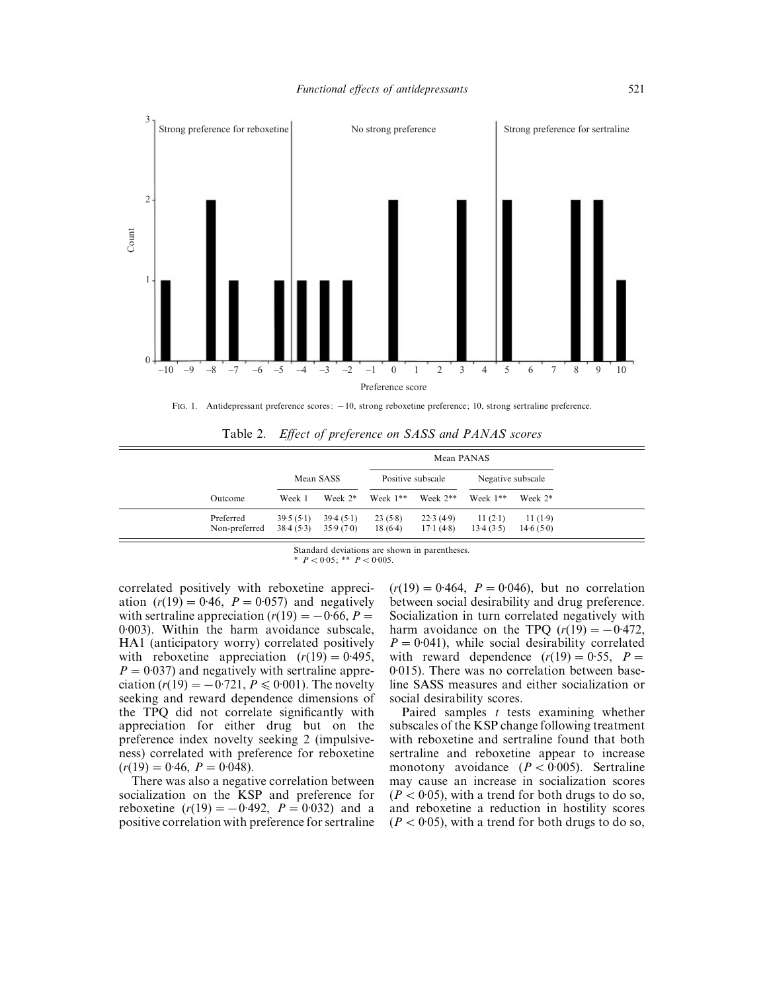

FIG. 1. Antidepressant preference scores:  $-10$ , strong reboxetine preference; 10, strong sertraline preference.

Table 2. *Effect of preference on SASS and PANAS scores*

|  |               |           |            | Mean PANAS        |            |                   |           |  |
|--|---------------|-----------|------------|-------------------|------------|-------------------|-----------|--|
|  | Outcome       | Mean SASS |            | Positive subscale |            | Negative subscale |           |  |
|  |               | Week 1    | Week $2^*$ | Week $1**$        | Week $2**$ | Week $1**$        | Week $2*$ |  |
|  | Preferred     | 39.5(5.1) | 39.4(5.1)  | 23(5.8)           | 22.3(4.9)  | 11(2.1)           | 11(1.9)   |  |
|  | Non-preferred | 38.4(5.3) | 35.9(7.0)  | 18(6.4)           | 17.1(4.8)  | 13.4(3.5)         | 14.6(5.0) |  |

Standard deviations are shown in parentheses. \*  $P < 0.05$ ; \*\*  $P < 0.005$ .

correlated positively with reboxetine appreciation  $(r(19) = 0.46, P = 0.057)$  and negatively with sertraline appreciation  $(r(19) = -0.66, P =$ 0±003). Within the harm avoidance subscale, HA1 (anticipatory worry) correlated positively with reboxetine appreciation  $(r(19) = 0.495,$  $P = 0.037$ ) and negatively with sertraline appreciation  $(r(19) = -0.721, P \le 0.001)$ . The novelty seeking and reward dependence dimensions of the TPQ did not correlate significantly with appreciation for either drug but on the preference index novelty seeking 2 (impulsiveness) correlated with preference for reboxetine  $(r(19) = 0.46, P = 0.048).$ 

There was also a negative correlation between socialization on the KSP and preference for reboxetine  $(r(19) = -0.492, P = 0.032)$  and a positive correlation with preference for sertraline

 $(r(19) = 0.464, P = 0.046)$ , but no correlation between social desirability and drug preference. Socialization in turn correlated negatively with harm avoidance on the TPQ  $(r(19) = -0.472)$ ,  $P = 0.041$ ), while social desirability correlated with reward dependence  $(r(19) = 0.55, P =$ 0.015). There was no correlation between baseline SASS measures and either socialization or social desirability scores.

Paired samples *t* tests examining whether subscales of the KSP change following treatment with reboxetine and sertraline found that both sertraline and reboxetine appear to increase monotony avoidance  $(P < 0.005)$ . Sertraline may cause an increase in socialization scores  $(P < 0.05)$ , with a trend for both drugs to do so, and reboxetine a reduction in hostility scores  $(P < 0.05)$ , with a trend for both drugs to do so,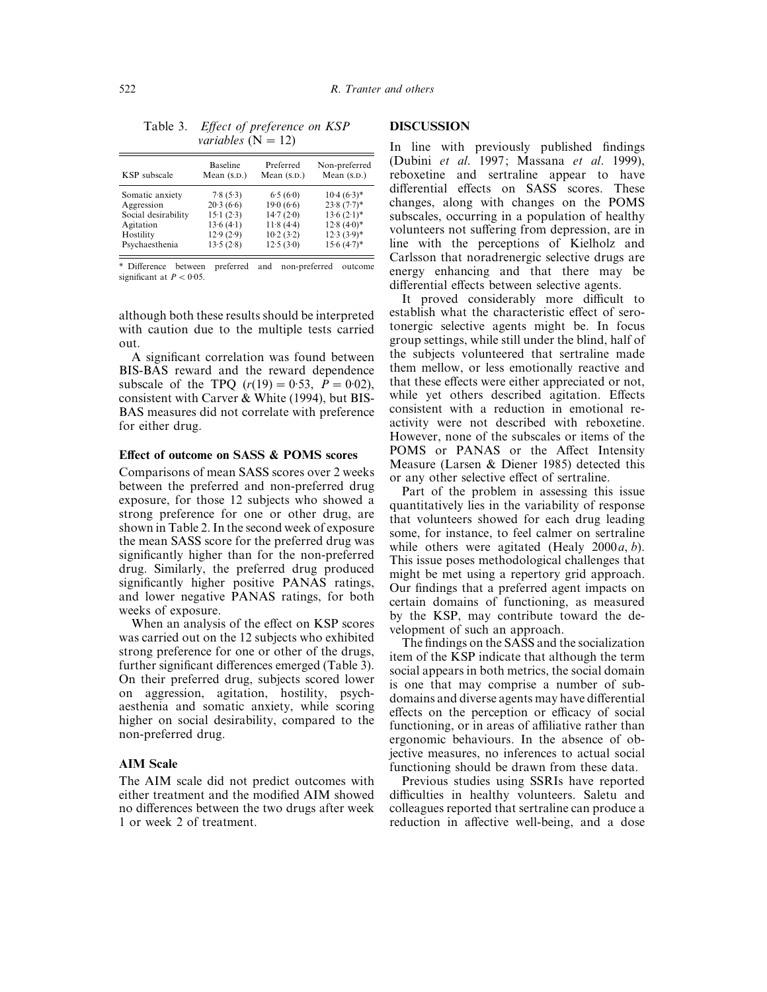| KSP subscale        | <b>Baseline</b><br>Mean $(S.D.)$ | Preferred<br>Mean $(S.D.)$ | Non-preferred<br>Mean $(S.D.)$ |
|---------------------|----------------------------------|----------------------------|--------------------------------|
| Somatic anxiety     | 7.8(5.3)                         | 6.5(6.0)                   | $10.4(6.3)$ *                  |
| Aggression          | 20.3(6.6)                        | 19.0(6.6)                  | $23.8(7.7)^*$                  |
| Social desirability | 15.1(2.3)                        | 14.7(2.0)                  | $13.6(2.1)$ *                  |
| Agitation           | 13.6(4.1)                        | 11.8(4.4)                  | $12.8(4.0)$ *                  |
| Hostility           | 12.9(2.9)                        | 10.2(3.2)                  | $12.3(3.9)$ *                  |
| Psychaesthenia      | 13.5(2.8)                        | 12.5(3.0)                  | $15.6(4.7)$ *                  |

Table 3. *Effect of preference on KSP variables*  $(N = 12)$ 

\* Difference between preferred and non-preferred outcome significant at  $P < 0.05$ .

although both these results should be interpreted with caution due to the multiple tests carried out.

A significant correlation was found between BIS-BAS reward and the reward dependence subscale of the TPQ  $(r(19) = 0.53, P = 0.02)$ , consistent with Carver & White (1994), but BIS-BAS measures did not correlate with preference for either drug.

#### **Effect of outcome on SASS & POMS scores**

Comparisons of mean SASS scores over 2 weeks between the preferred and non-preferred drug exposure, for those 12 subjects who showed a strong preference for one or other drug, are shown in Table 2. In the second week of exposure the mean SASS score for the preferred drug was significantly higher than for the non-preferred drug. Similarly, the preferred drug produced significantly higher positive PANAS ratings, and lower negative PANAS ratings, for both weeks of exposure.

When an analysis of the effect on KSP scores was carried out on the 12 subjects who exhibited strong preference for one or other of the drugs, further significant differences emerged (Table 3). On their preferred drug, subjects scored lower on aggression, agitation, hostility, psychaesthenia and somatic anxiety, while scoring higher on social desirability, compared to the non-preferred drug.

## **AIM Scale**

The AIM scale did not predict outcomes with either treatment and the modified AIM showed no differences between the two drugs after week 1 or week 2 of treatment.

#### **DISCUSSION**

In line with previously published findings (Dubini *et al*. 1997; Massana *et al*. 1999), reboxetine and sertraline appear to have differential effects on SASS scores. These changes, along with changes on the POMS subscales, occurring in a population of healthy volunteers not suffering from depression, are in line with the perceptions of Kielholz and Carlsson that noradrenergic selective drugs are energy enhancing and that there may be differential effects between selective agents.

It proved considerably more difficult to establish what the characteristic effect of serotonergic selective agents might be. In focus group settings, while still under the blind, half of the subjects volunteered that sertraline made them mellow, or less emotionally reactive and that these effects were either appreciated or not, while yet others described agitation. Effects consistent with a reduction in emotional reactivity were not described with reboxetine. However, none of the subscales or items of the POMS or PANAS or the Affect Intensity Measure (Larsen & Diener 1985) detected this or any other selective effect of sertraline.

Part of the problem in assessing this issue quantitatively lies in the variability of response that volunteers showed for each drug leading some, for instance, to feel calmer on sertraline while others were agitated (Healy 2000*a*, *b*). This issue poses methodological challenges that might be met using a repertory grid approach. Our findings that a preferred agent impacts on certain domains of functioning, as measured by the KSP, may contribute toward the development of such an approach.

The findings on the SASS and the socialization item of the KSP indicate that although the term social appears in both metrics, the social domain is one that may comprise a number of subdomains and diverse agents may have differential effects on the perception or efficacy of social functioning, or in areas of affiliative rather than ergonomic behaviours. In the absence of objective measures, no inferences to actual social functioning should be drawn from these data.

Previous studies using SSRIs have reported difficulties in healthy volunteers. Saletu and colleagues reported that sertraline can produce a reduction in affective well-being, and a dose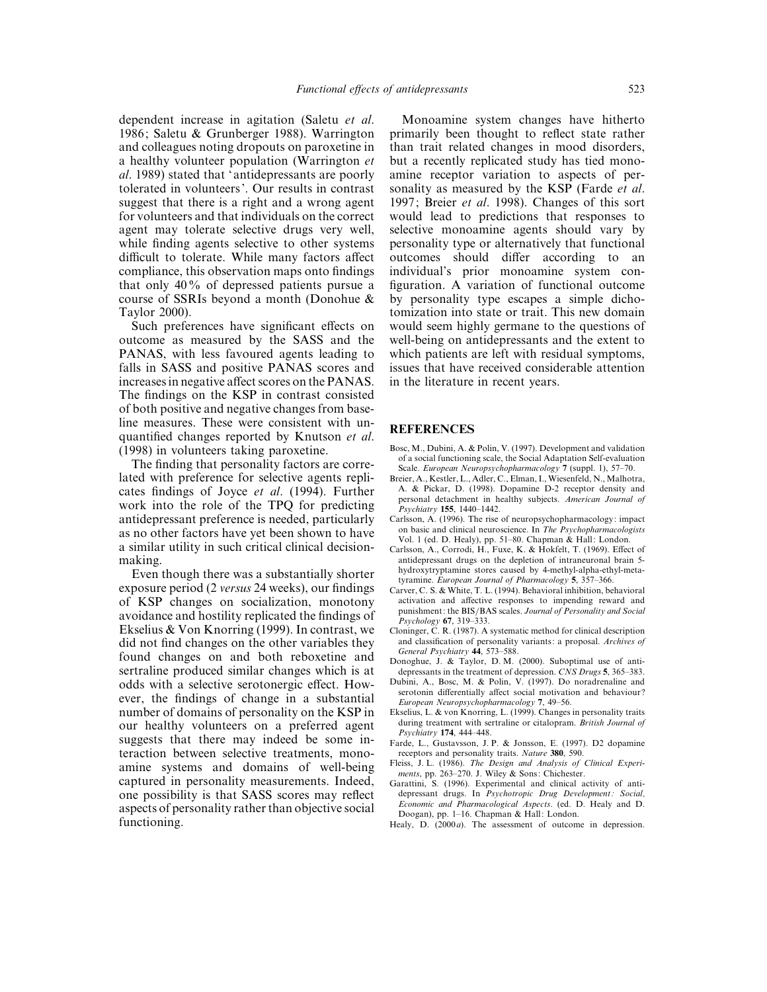dependent increase in agitation (Saletu *et al*. 1986; Saletu & Grunberger 1988). Warrington and colleagues noting dropouts on paroxetine in a healthy volunteer population (Warrington *et al*. 1989) stated that ' antidepressants are poorly tolerated in volunteers'. Our results in contrast suggest that there is a right and a wrong agent for volunteers and that individuals on the correct agent may tolerate selective drugs very well, while finding agents selective to other systems difficult to tolerate. While many factors affect compliance, this observation maps onto findings that only 40% of depressed patients pursue a course of SSRIs beyond a month (Donohue & Taylor 2000).

Such preferences have significant effects on outcome as measured by the SASS and the PANAS, with less favoured agents leading to falls in SASS and positive PANAS scores and increases in negative affect scores on the PANAS. The findings on the KSP in contrast consisted of both positive and negative changes from baseline measures. These were consistent with unquantified changes reported by Knutson *et al*. (1998) in volunteers taking paroxetine.

The finding that personality factors are correlated with preference for selective agents replicates findings of Joyce *et al*. (1994). Further work into the role of the TPQ for predicting antidepressant preference is needed, particularly as no other factors have yet been shown to have a similar utility in such critical clinical decisionmaking.

Even though there was a substantially shorter exposure period (2 *versus* 24 weeks), our findings of KSP changes on socialization, monotony avoidance and hostility replicated the findings of Ekselius & Von Knorring (1999). In contrast, we did not find changes on the other variables they found changes on and both reboxetine and sertraline produced similar changes which is at odds with a selective serotonergic effect. However, the findings of change in a substantial number of domains of personality on the KSP in our healthy volunteers on a preferred agent suggests that there may indeed be some interaction between selective treatments, monoamine systems and domains of well-being captured in personality measurements. Indeed, one possibility is that SASS scores may reflect aspects of personality rather than objective social functioning.

Monoamine system changes have hitherto primarily been thought to reflect state rather than trait related changes in mood disorders, but a recently replicated study has tied monoamine receptor variation to aspects of personality as measured by the KSP (Farde *et al*. 1997; Breier *et al*. 1998). Changes of this sort would lead to predictions that responses to selective monoamine agents should vary by personality type or alternatively that functional outcomes should differ according to an individual's prior monoamine system configuration. A variation of functional outcome by personality type escapes a simple dichotomization into state or trait. This new domain would seem highly germane to the questions of well-being on antidepressants and the extent to which patients are left with residual symptoms, issues that have received considerable attention in the literature in recent years.

### **REFERENCES**

- Bosc, M., Dubini, A. & Polin, V. (1997). Development and validation of a social functioning scale, the Social Adaptation Self-evaluation Scale. *European Neuropsychopharmacology* **7** (suppl. 1), 57–70.
- Breier, A., Kestler, L., Adler, C., Elman, I., Wiesenfeld, N., Malhotra, A. & Pickar, D. (1998). Dopamine D-2 receptor density and personal detachment in healthy subjects. *American Journal of Psychiatry* **155**, 1440–1442.
- Carlsson, A. (1996). The rise of neuropsychopharmacology: impact on basic and clinical neuroscience. In *The Psychopharmacologists* Vol. 1 (ed. D. Healy), pp. 51–80. Chapman & Hall: London.
- Carlsson, A., Corrodi, H., Fuxe, K. & Hokfelt, T. (1969). Effect of antidepressant drugs on the depletion of intraneuronal brain 5 hydroxytryptamine stores caused by 4-methyl-alpha-ethyl-metatyramine. *European Journal of Pharmacology* **5**, 357–366.
- Carver, C. S. & White, T. L. (1994). Behavioral inhibition, behavioral activation and affective responses to impending reward and punishment: the BIS/BAS scales. *Journal of Personality and Social Psychology* **67**, 319–333.
- Cloninger, C. R. (1987). A systematic method for clinical description and classification of personality variants: a proposal. *Archives of General Psychiatry* **44**, 573–588.
- Donoghue, J. & Taylor, D. M. (2000). Suboptimal use of antidepressants in the treatment of depression. *CNS Drugs* **5**, 365–383.
- Dubini, A., Bosc, M. & Polin, V. (1997). Do noradrenaline and serotonin differentially affect social motivation and behaviour ? *European Neuropsychopharmacology* **7**, 49–56.
- Ekselius, L. & von Knorring, L. (1999). Changes in personality traits during treatment with sertraline or citalopram. *British Journal of Psychiatry* **174**, 444–448.
- Farde, L., Gustavsson, J. P. & Jonsson, E. (1997). D2 dopamine receptors and personality traits. *Nature* **380**, 590.
- Fleiss, J. L. (1986). *The Design and Analysis of Clinical Experiments*, pp. 263–270. J. Wiley & Sons: Chichester.
- Garattini, S. (1996). Experimental and clinical activity of antidepressant drugs. In *Psychotropic Drug Development : Social, Economic and Pharmacological Aspects*. (ed. D. Healy and D. Doogan), pp. 1–16. Chapman & Hall: London.
- Healy, D. (2000*a*). The assessment of outcome in depression.